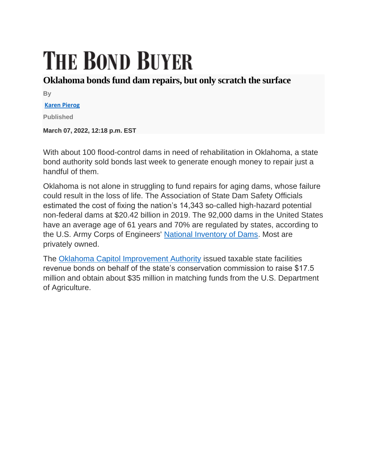## **THE BOND BUYER**

## **Oklahoma bonds fund dam repairs, but only scratch the surface**

**By**

## **[Karen Pierog](https://www.bondbuyer.com/author/karen-pierog)**

**Published**

**March 07, 2022, 12:18 p.m. EST**

With about 100 flood-control dams in need of rehabilitation in Oklahoma, a state bond authority sold bonds last week to generate enough money to repair just a handful of them.

Oklahoma is not alone in struggling to fund repairs for aging dams, whose failure could result in the loss of life. The Association of State Dam Safety Officials estimated the cost of fixing the nation's 14,343 so-called high-hazard potential non-federal dams at \$20.42 billion in 2019. The 92,000 dams in the United States have an average age of 61 years and 70% are regulated by states, according to the U.S. Army Corps of Engineers' [National Inventory of Dams.](https://nid.usace.army.mil/#/) Most are privately owned.

The [Oklahoma Capitol Improvement Authority](https://www.bondbuyer.com/news/oklahoma-to-refund-300m-in-two-deals) issued taxable state facilities revenue bonds on behalf of the state's conservation commission to raise \$17.5 million and obtain about \$35 million in matching funds from the U.S. Department of Agriculture.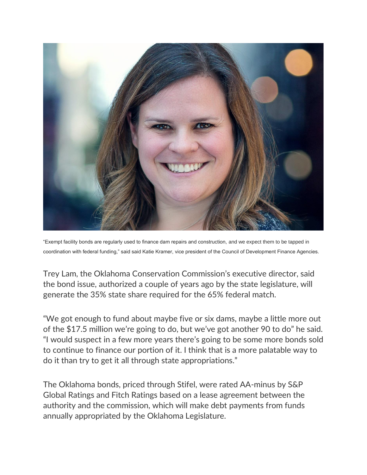

"Exempt facility bonds are regularly used to finance dam repairs and construction, and we expect them to be tapped in coordination with federal funding," said said Katie Kramer, vice president of the Council of Development Finance Agencies.

Trey Lam, the Oklahoma Conservation Commission's executive director, said the bond issue, authorized a couple of years ago by the state legislature, will generate the 35% state share required for the 65% federal match.

"We got enough to fund about maybe five or six dams, maybe a little more out of the \$17.5 million we're going to do, but we've got another 90 to do" he said. "I would suspect in a few more years there's going to be some more bonds sold to continue to finance our portion of it. I think that is a more palatable way to do it than try to get it all through state appropriations."

The Oklahoma bonds, priced through Stifel, were rated AA-minus by S&P Global Ratings and Fitch Ratings based on a lease agreement between the authority and the commission, which will make debt payments from funds annually appropriated by the Oklahoma Legislature.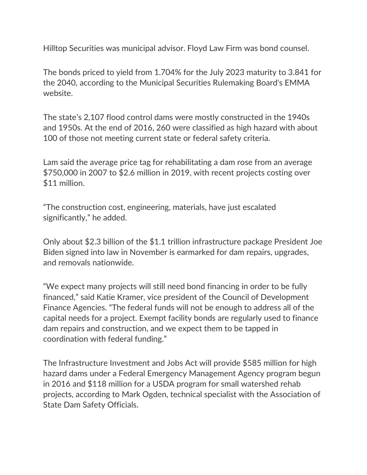Hilltop Securities was municipal advisor. Floyd Law Firm was bond counsel.

The bonds priced to yield from 1.704% for the July 2023 maturity to 3.841 for the 2040, according to the Municipal Securities Rulemaking Board's EMMA website.

The state's 2,107 flood control dams were mostly constructed in the 1940s and 1950s. At the end of 2016, 260 were classified as high hazard with about 100 of those not meeting current state or federal safety criteria.

Lam said the average price tag for rehabilitating a dam rose from an average \$750,000 in 2007 to \$2.6 million in 2019, with recent projects costing over \$11 million.

"The construction cost, engineering, materials, have just escalated significantly," he added.

Only about \$2.3 billion of the \$1.1 trillion infrastructure package President Joe Biden signed into law in November is earmarked for dam repairs, upgrades, and removals nationwide.

"We expect many projects will still need bond financing in order to be fully financed," said Katie Kramer, vice president of the Council of Development Finance Agencies. "The federal funds will not be enough to address all of the capital needs for a project. Exempt facility bonds are regularly used to finance dam repairs and construction, and we expect them to be tapped in coordination with federal funding."

The Infrastructure Investment and Jobs Act will provide \$585 million for high hazard dams under a Federal Emergency Management Agency program begun in 2016 and \$118 million for a USDA program for small watershed rehab projects, according to Mark Ogden, technical specialist with the Association of State Dam Safety Officials.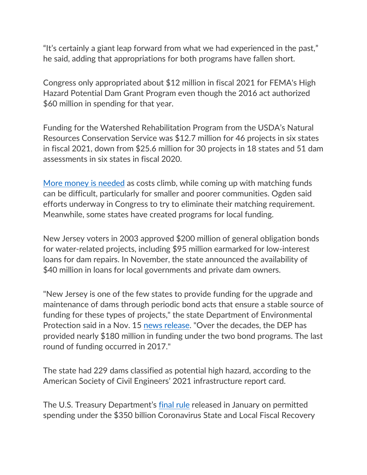"It's certainly a giant leap forward from what we had experienced in the past," he said, adding that appropriations for both programs have fallen short.

Congress only appropriated about \$12 million in fiscal 2021 for FEMA's High Hazard Potential Dam Grant Program even though the 2016 act authorized \$60 million in spending for that year.

Funding for the Watershed Rehabilitation Program from the USDA's Natural Resources Conservation Service was \$12.7 million for 46 projects in six states in fiscal 2021, down from \$25.6 million for 30 projects in 18 states and 51 dam assessments in six states in fiscal 2020.

[More money is needed](https://www.bondbuyer.com/news/the-roads-and-bridges-trains-and-tunnels-to-u-s-infrastructure-recovery) as costs climb, while coming up with matching funds can be difficult, particularly for smaller and poorer communities. Ogden said efforts underway in Congress to try to eliminate their matching requirement. Meanwhile, some states have created programs for local funding.

New Jersey voters in 2003 approved \$200 million of general obligation bonds for water-related projects, including \$95 million earmarked for low-interest loans for dam repairs. In November, the state announced the availability of \$40 million in loans for local governments and private dam owners.

"New Jersey is one of the few states to provide funding for the upgrade and maintenance of dams through periodic bond acts that ensure a stable source of funding for these types of projects," the state Department of Environmental Protection said in a Nov. 15 [news release.](https://www.nj.gov/dep/newsrel/2021/21_0037.htm) "Over the decades, the DEP has provided nearly \$180 million in funding under the two bond programs. The last round of funding occurred in 2017."

The state had 229 dams classified as potential high hazard, according to the American Society of Civil Engineers' 2021 infrastructure report card.

The U.S. Treasury Department's [final rule](https://www.bondbuyer.com/news/treasury-final-ruling-expands-spending-on-water-sewage-broadband) released in January on permitted spending under the \$350 billion Coronavirus State and Local Fiscal Recovery